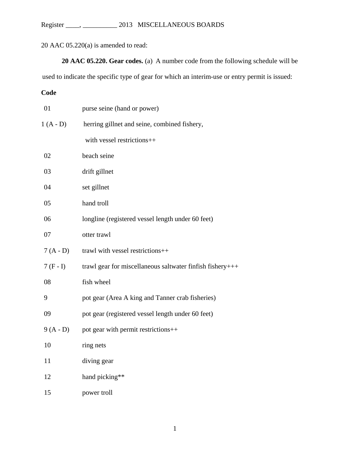Register \_\_\_\_, \_\_\_\_\_\_\_\_\_\_ 2013 MISCELLANEOUS BOARDS

20 AAC 05.220(a) is amended to read:

**20 AAC 05.220. Gear codes.** (a) A number code from the following schedule will be

used to indicate the specific type of gear for which an interim-use or entry permit is issued:

**Code**

| 01         | purse seine (hand or power)                               |
|------------|-----------------------------------------------------------|
| $1(A - D)$ | herring gillnet and seine, combined fishery,              |
|            | with vessel restrictions++                                |
| 02         | beach seine                                               |
| 03         | drift gillnet                                             |
| 04         | set gillnet                                               |
| 05         | hand troll                                                |
| 06         | longline (registered vessel length under 60 feet)         |
| 07         | otter trawl                                               |
| $7(A - D)$ | trawl with vessel restrictions++                          |
| $7(F-I)$   | trawl gear for miscellaneous saltwater finfish fishery+++ |
| 08         | fish wheel                                                |
| 9          | pot gear (Area A king and Tanner crab fisheries)          |
| 09         | pot gear (registered vessel length under 60 feet)         |
| $9(A - D)$ | pot gear with permit restrictions++                       |
| 10         | ring nets                                                 |
| 11         | diving gear                                               |
| 12         | hand picking**                                            |
| 15         | power troll                                               |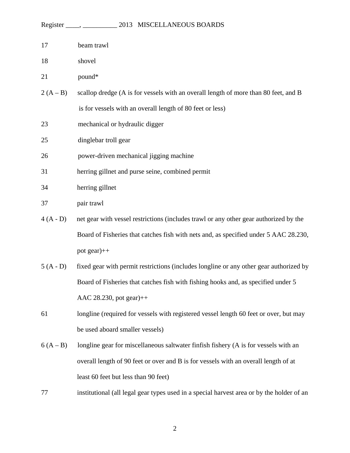|            | Register _____, ______________ 2013 MISCELLANEOUS BOARDS                                  |
|------------|-------------------------------------------------------------------------------------------|
| 17         | beam trawl                                                                                |
| 18         | shovel                                                                                    |
| 21         | pound*                                                                                    |
| $2(A - B)$ | scallop dredge (A is for vessels with an overall length of more than 80 feet, and B       |
|            | is for vessels with an overall length of 80 feet or less)                                 |
| 23         | mechanical or hydraulic digger                                                            |
| 25         | dinglebar troll gear                                                                      |
| 26         | power-driven mechanical jigging machine                                                   |
| 31         | herring gillnet and purse seine, combined permit                                          |
| 34         | herring gillnet                                                                           |
| 37         | pair trawl                                                                                |
| $4(A - D)$ | net gear with vessel restrictions (includes trawl or any other gear authorized by the     |
|            | Board of Fisheries that catches fish with nets and, as specified under 5 AAC 28.230,      |
|            | pot gear)++                                                                               |
| $5(A - D)$ | fixed gear with permit restrictions (includes longline or any other gear authorized by    |
|            | Board of Fisheries that catches fish with fishing hooks and, as specified under 5         |
|            | AAC 28.230, pot gear)++                                                                   |
| 61         | longline (required for vessels with registered vessel length 60 feet or over, but may     |
|            | be used aboard smaller vessels)                                                           |
| $6(A - B)$ | longline gear for miscellaneous saltwater finfish fishery (A is for vessels with an       |
|            | overall length of 90 feet or over and B is for vessels with an overall length of at       |
|            | least 60 feet but less than 90 feet)                                                      |
| 77         | institutional (all legal gear types used in a special harvest area or by the holder of an |
|            |                                                                                           |

2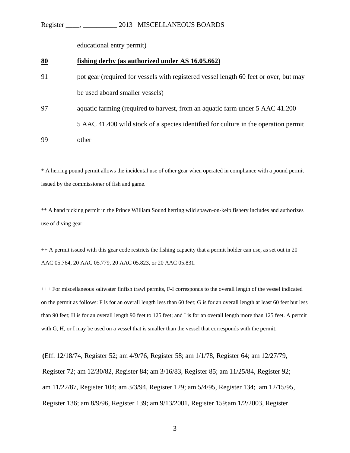## Register \_\_\_\_, \_\_\_\_\_\_\_\_\_\_ 2013 MISCELLANEOUS BOARDS

educational entry permit)

## **80 fishing derby (as authorized under AS 16.05.662)**

- 91 pot gear (required for vessels with registered vessel length 60 feet or over, but may be used aboard smaller vessels)
- 97 aquatic farming (required to harvest, from an aquatic farm under 5 AAC 41.200 5 AAC 41.400 wild stock of a species identified for culture in the operation permit 99 other

\* A herring pound permit allows the incidental use of other gear when operated in compliance with a pound permit issued by the commissioner of fish and game.

\*\* A hand picking permit in the Prince William Sound herring wild spawn-on-kelp fishery includes and authorizes use of diving gear.

++ A permit issued with this gear code restricts the fishing capacity that a permit holder can use, as set out in 20 AAC 05.764, 20 AAC 05.779, 20 AAC 05.823, or 20 AAC 05.831.

+++ For miscellaneous saltwater finfish trawl permits, F-I corresponds to the overall length of the vessel indicated on the permit as follows: F is for an overall length less than 60 feet; G is for an overall length at least 60 feet but less than 90 feet; H is for an overall length 90 feet to 125 feet; and I is for an overall length more than 125 feet. A permit with G, H, or I may be used on a vessel that is smaller than the vessel that corresponds with the permit.

**(**Eff. 12/18/74, Register 52; am 4/9/76, Register 58; am 1/1/78, Register 64; am 12/27/79, Register 72; am 12/30/82, Register 84; am 3/16/83, Register 85; am 11/25/84, Register 92; am 11/22/87, Register 104; am 3/3/94, Register 129; am 5/4/95, Register 134; am 12/15/95, Register 136; am 8/9/96, Register 139; am 9/13/2001, Register 159;am 1/2/2003, Register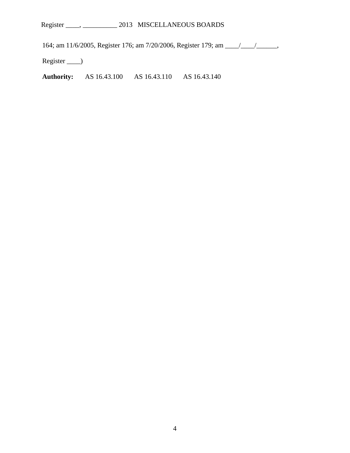164; am 11/6/2005, Register 176; am 7/20/2006, Register 179; am \_\_\_\_/\_\_\_\_/\_\_\_\_\_\_,

Register \_\_\_\_)

**Authority:** AS 16.43.100 AS 16.43.110 AS 16.43.140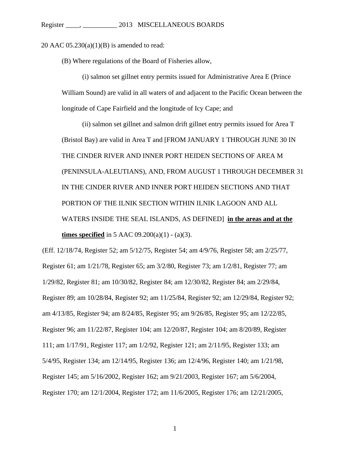20 AAC  $05.230(a)(1)(B)$  is amended to read:

(B) Where regulations of the Board of Fisheries allow,

(i) salmon set gillnet entry permits issued for Administrative Area E (Prince William Sound) are valid in all waters of and adjacent to the Pacific Ocean between the longitude of Cape Fairfield and the longitude of Icy Cape; and

(ii) salmon set gillnet and salmon drift gillnet entry permits issued for Area T (Bristol Bay) are valid in Area T and [FROM JANUARY 1 THROUGH JUNE 30 IN THE CINDER RIVER AND INNER PORT HEIDEN SECTIONS OF AREA M (PENINSULA-ALEUTIANS), AND, FROM AUGUST 1 THROUGH DECEMBER 31 IN THE CINDER RIVER AND INNER PORT HEIDEN SECTIONS AND THAT PORTION OF THE ILNIK SECTION WITHIN ILNIK LAGOON AND ALL WATERS INSIDE THE SEAL ISLANDS, AS DEFINED] **in the areas and at the times specified** in 5 AAC  $09.200(a)(1) - (a)(3)$ .

(Eff. 12/18/74, Register 52; am 5/12/75, Register 54; am 4/9/76, Register 58; am 2/25/77, Register 61; am 1/21/78, Register 65; am 3/2/80, Register 73; am 1/2/81, Register 77; am 1/29/82, Register 81; am 10/30/82, Register 84; am 12/30/82, Register 84; am 2/29/84, Register 89; am 10/28/84, Register 92; am 11/25/84, Register 92; am 12/29/84, Register 92; am 4/13/85, Register 94; am 8/24/85, Register 95; am 9/26/85, Register 95; am 12/22/85, Register 96; am 11/22/87, Register 104; am 12/20/87, Register 104; am 8/20/89, Register 111; am 1/17/91, Register 117; am 1/2/92, Register 121; am 2/11/95, Register 133; am 5/4/95, Register 134; am 12/14/95, Register 136; am 12/4/96, Register 140; am 1/21/98, Register 145; am 5/16/2002, Register 162; am 9/21/2003, Register 167; am 5/6/2004, Register 170; am 12/1/2004, Register 172; am 11/6/2005, Register 176; am 12/21/2005,

1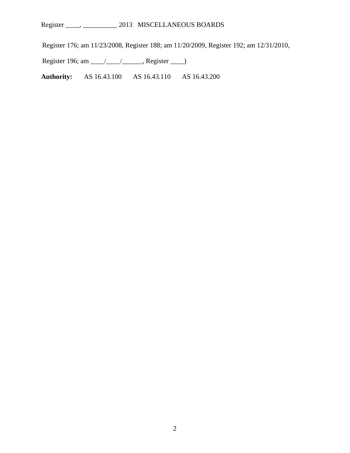Register \_\_\_\_, \_\_\_\_\_\_\_\_\_\_ 2013 MISCELLANEOUS BOARDS

Register 176; am 11/23/2008, Register 188; am 11/20/2009, Register 192; am 12/31/2010,

Register 196; am \_\_\_\_/\_\_\_\_/\_\_\_\_\_\_, Register \_\_\_\_)

**Authority:** AS 16.43.100 AS 16.43.110 AS 16.43.200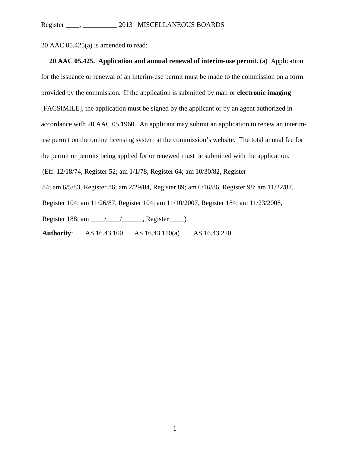20 AAC 05.425(a) is amended to read:

**20 AAC 05.425. Application and annual renewal of interim-use permit.** (a) Application for the issuance or renewal of an interim-use permit must be made to the commission on a form provided by the commission. If the application is submitted by mail or **electronic imaging** [FACSIMILE], the application must be signed by the applicant or by an agent authorized in accordance with 20 AAC 05.1960. An applicant may submit an application to renew an interimuse permit on the online licensing system at the commission's website. The total annual fee for the permit or permits being applied for or renewed must be submitted with the application. (Eff. 12/18/74, Register 52; am 1/1/78, Register 64; am 10/30/82, Register 84; am 6/5/83, Register 86; am 2/29/84, Register 89; am 6/16/86, Register 98; am 11/22/87, Register 104; am 11/26/87, Register 104; am 11/10/2007, Register 184; am 11/23/2008, Register 188; am \_\_\_\_/\_\_\_\_/\_\_\_\_\_\_, Register \_\_\_\_) **Authority**: AS 16.43.100 AS 16.43.110(a) AS 16.43.220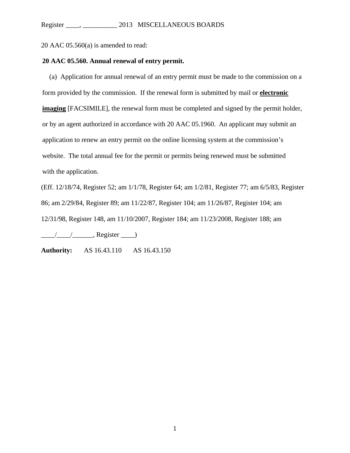20 AAC 05.560(a) is amended to read:

## **20 AAC 05.560. Annual renewal of entry permit.**

(a) Application for annual renewal of an entry permit must be made to the commission on a form provided by the commission. If the renewal form is submitted by mail or **electronic imaging** [FACSIMILE], the renewal form must be completed and signed by the permit holder, or by an agent authorized in accordance with 20 AAC 05.1960. An applicant may submit an application to renew an entry permit on the online licensing system at the commission's website. The total annual fee for the permit or permits being renewed must be submitted with the application.

(Eff. 12/18/74, Register 52; am 1/1/78, Register 64; am 1/2/81, Register 77; am 6/5/83, Register 86; am 2/29/84, Register 89; am 11/22/87, Register 104; am 11/26/87, Register 104; am 12/31/98, Register 148, am 11/10/2007, Register 184; am 11/23/2008, Register 188; am

 $\frac{1}{\sqrt{2\pi}}$ , Register  $\frac{1}{\sqrt{2\pi}}$ 

**Authority:** AS 16.43.110 AS 16.43.150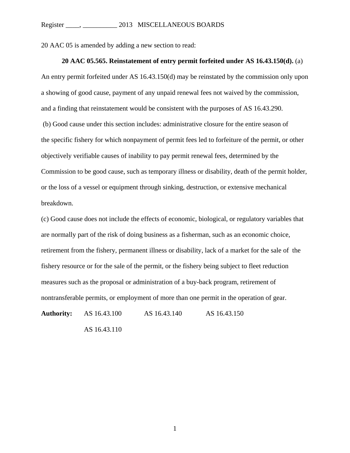20 AAC 05 is amended by adding a new section to read:

## **20 AAC 05.565. Reinstatement of entry permit forfeited under AS 16.43.150(d).** (a)

An entry permit forfeited under AS 16.43.150(d) may be reinstated by the commission only upon a showing of good cause, payment of any unpaid renewal fees not waived by the commission, and a finding that reinstatement would be consistent with the purposes of AS 16.43.290. (b) Good cause under this section includes: administrative closure for the entire season of the specific fishery for which nonpayment of permit fees led to forfeiture of the permit, or other objectively verifiable causes of inability to pay permit renewal fees, determined by the Commission to be good cause, such as temporary illness or disability, death of the permit holder, or the loss of a vessel or equipment through sinking, destruction, or extensive mechanical breakdown.

(c) Good cause does not include the effects of economic, biological, or regulatory variables that are normally part of the risk of doing business as a fisherman, such as an economic choice, retirement from the fishery, permanent illness or disability, lack of a market for the sale of the fishery resource or for the sale of the permit, or the fishery being subject to fleet reduction measures such as the proposal or administration of a buy-back program, retirement of nontransferable permits, or employment of more than one permit in the operation of gear.

**Authority:** AS 16.43.100 AS 16.43.140 AS 16.43.150

AS 16.43.110

1